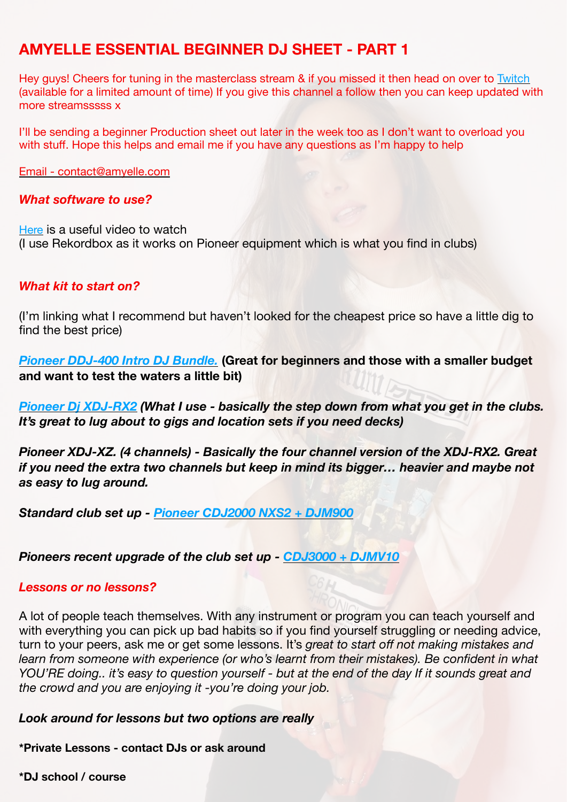# **AMYELLE ESSENTIAL BEGINNER DJ SHEET - PART 1**

Hey guys! Cheers for tuning in the masterclass stream & if you missed it then head on over to [Twitch](https://www.twitch.tv/videos/1044631650)  (available for a limited amount of time) If you give this channel a follow then you can keep updated with more streamsssss x

I'll be sending a beginner Production sheet out later in the week too as I don't want to overload you with stuff. Hope this helps and email me if you have any questions as I'm happy to help

Email - contact@amyelle.com

#### *What software to use?*

[Here](https://www.digitaldjtips.com/2018/10/serato-traktor-rekordbox-virtual-dj-which-dj-software-should-you-choose/) is a useful video to watch (I use Rekordbox as it works on Pioneer equipment which is what you find in clubs)

## *What kit to start on?*

(I'm linking what I recommend but haven't looked for the cheapest price so have a little dig to find the best price)

*[Pioneer DDJ-400 Intro DJ Bundle.](https://www.westenddj.co.uk/pioneer-ddj-400?gclid=Cj0KCQjw--GFBhDeARIsACH_kdabOJJyGD9zcaO2wBcN3auqhwtYG3av5dnaUoQPJzZFge_so1USlawaAs9tEALw_wcB)* **(Great for beginners and those with a smaller budget and want to test the waters a little bit)** 

*[Pioneer Dj XDJ-RX2](https://www.recordcase.de/en/pioneer-dj-xdj-rx2?sPartner=Froogle_UK&number=0020109841) (What I use - basically the step down from what you get in the clubs. It's great to lug about to gigs and location sets if you need decks)* 

*Pioneer XDJ-XZ. (4 channels) - Basically the four channel version of the XDJ-RX2. Great if you need the extra two channels but keep in mind its bigger… heavier and maybe not as easy to lug around.* 

*Standard club set up - [Pioneer CDJ2000 NXS2 + DJM900](https://www.djsuperstore.com/pioneer-cdj2000-nxs2-djm900-nxs2-package/?gclid=Cj0KCQjwnueFBhChARIsAPu3YkQGQDa0Oq05ln9lMSLn591XNRzpnTzH5ctj6QVASSQ1Bm72FT9xR6waAoTDEALw_wcB)*

## *Pioneers recent upgrade of the club set up - [CDJ3000 + DJMV10](https://www.djsuperstore.com/pioneer-cdj-3000-djm-v10-package/?gclid=Cj0KCQjwnueFBhChARIsAPu3YkTVMEbaQz79_LLClRV8MpCGsHaqRaC3R_gXDoinpjEbYGyM_GYaaXkaAlHREALw_wcB)*

#### *Lessons or no lessons?*

A lot of people teach themselves. With any instrument or program you can teach yourself and with everything you can pick up bad habits so if you find yourself struggling or needing advice, turn to your peers, ask me or get some lessons. It's *great to start off not making mistakes and learn from someone with experience (or who's learnt from their mistakes). Be confident in what YOU'RE doing.. it's easy to question yourself - but at the end of the day If it sounds great and the crowd and you are enjoying it -you're doing your job.*

*Look around for lessons but two options are really* 

**\*Private Lessons - contact DJs or ask around** 

**\*DJ school / course**